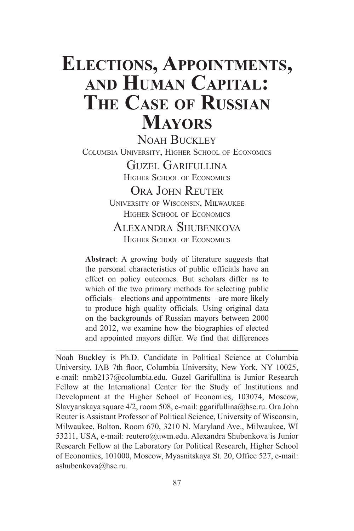# **Elections, Appointments, and Human Capital: The Case of Russian Mayors**

NOAH BUCKLEY Columbia University, Higher School of Economics Guzel Garifullina

Higher School of Economics

ORA JOHN REUTER University of Wisconsin, Milwaukee HIGHER SCHOOL OF ECONOMICS

# Alexandra Shubenkova Higher School of Economics

**Abstract**: A growing body of literature suggests that the personal characteristics of public officials have an effect on policy outcomes. But scholars differ as to which of the two primary methods for selecting public officials – elections and appointments – are more likely to produce high quality officials. Using original data on the backgrounds of Russian mayors between 2000 and 2012, we examine how the biographies of elected and appointed mayors differ. We find that differences

Noah Buckley is Ph.D. Candidate in Political Science at Columbia University, IAB 7th floor, Columbia University, New York, NY 10025, e-mail: nmb2137@columbia.edu. Guzel Garifullina is Junior Research Fellow at the International Center for the Study of Institutions and Development at the Higher School of Economics, 103074, Moscow, Slavyanskaya square 4/2, room 508, e-mail: ggarifullina@hse.ru. Ora John Reuter is Assistant Professor of Political Science, University of Wisconsin, Milwaukee, Bolton, Room 670, 3210 N. Maryland Ave., Milwaukee, WI 53211, USA, e-mail: reutero@uwm.edu. Alexandra Shubenkova is Junior Research Fellow at the Laboratory for Political Research, Higher School of Economics, 101000, Moscow, Myasnitskaya St. 20, Office 527, e-mail: ashubenkova@hse.ru.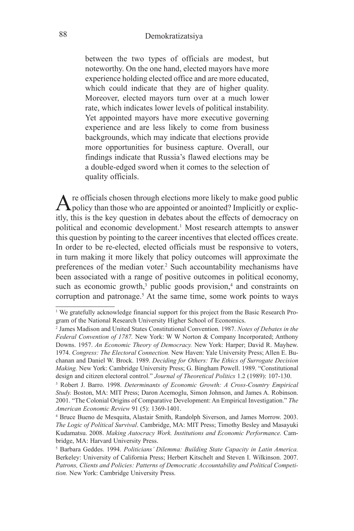between the two types of officials are modest, but noteworthy. On the one hand, elected mayors have more experience holding elected office and are more educated, which could indicate that they are of higher quality. Moreover, elected mayors turn over at a much lower rate, which indicates lower levels of political instability. Yet appointed mayors have more executive governing experience and are less likely to come from business backgrounds, which may indicate that elections provide more opportunities for business capture. Overall, our findings indicate that Russia's flawed elections may be a double-edged sword when it comes to the selection of quality officials.

Are officials chosen through elections more likely to make good public policy than those who are appointed or anointed? Implicitly or explicitly, this is the key question in debates about the effects of democracy on political and economic development.<sup>1</sup> Most research attempts to answer this question by pointing to the career incentives that elected offices create. In order to be re-elected, elected officials must be responsive to voters, in turn making it more likely that policy outcomes will approximate the preferences of the median voter.<sup>2</sup> Such accountability mechanisms have been associated with a range of positive outcomes in political economy, such as economic growth,<sup>3</sup> public goods provision,<sup>4</sup> and constraints on corruption and patronage.<sup>5</sup> At the same time, some work points to ways

<sup>&</sup>lt;sup>1</sup> We gratefully acknowledge financial support for this project from the Basic Research Program of the National Research University Higher School of Economics.

<sup>2</sup> James Madison and United States Constitutional Convention. 1987. *Notes of Debates in the Federal Convention of 1787.* New York: W W Norton & Company Incorporated; Anthony Downs. 1957. *An Economic Theory of Democracy.* New York: Harper; David R. Mayhew. 1974. *Congress: The Electoral Connection.* New Haven: Yale University Press; Allen E. Buchanan and Daniel W. Brock. 1989. *Deciding for Others: The Ethics of Surrogate Decision Making.* New York: Cambridge University Press; G. Bingham Powell. 1989. "Constitutional design and citizen electoral control." *Journal of Theoretical Politics* 1.2 (1989): 107-130. 3

Robert J. Barro. 1998. *Determinants of Economic Growth: A Cross-Country Empirical Study.* Boston, MA: MIT Press; Daron Acemoglu, Simon Johnson, and James A. Robinson. 2001. "The Colonial Origins of Comparative Development: An Empirical Investigation." *The American Economic Review* 91 (5): 1369-1401.

<sup>4</sup> Bruce Bueno de Mesquita, Alastair Smith, Randolph Siverson, and James Morrow. 2003. *The Logic of Political Survival*. Cambridge, MA: MIT Press; Timothy Besley and Masayuki Kudamatsu. 2008. *Making Autocracy Work. Institutions and Economic Performance.* Cambridge, MA: Harvard University Press.

<sup>5</sup> Barbara Geddes. 1994. *Politicians' Dilemma: Building State Capacity in Latin America.* Berkeley: University of California Press; Herbert Kitschelt and Steven I. Wilkinson. 2007. *Patrons, Clients and Policies: Patterns of Democratic Accountability and Political Competition.* New York: Cambridge University Press.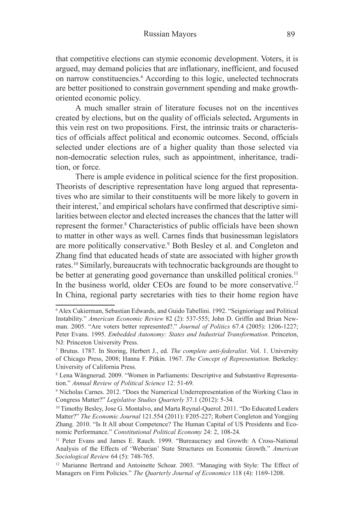that competitive elections can stymie economic development. Voters, it is argued, may demand policies that are inflationary, inefficient, and focused on narrow constituencies.<sup>6</sup> According to this logic, unelected technocrats are better positioned to constrain government spending and make growthoriented economic policy.

A much smaller strain of literature focuses not on the incentives created by elections, but on the quality of officials selected**.** Arguments in this vein rest on two propositions. First, the intrinsic traits or characteristics of officials affect political and economic outcomes. Second, officials selected under elections are of a higher quality than those selected via non-democratic selection rules, such as appointment, inheritance, tradition, or force.

There is ample evidence in political science for the first proposition. Theorists of descriptive representation have long argued that representatives who are similar to their constituents will be more likely to govern in their interest,<sup>7</sup> and empirical scholars have confirmed that descriptive similarities between elector and elected increases the chances that the latter will represent the former.<sup>8</sup> Characteristics of public officials have been shown to matter in other ways as well. Carnes finds that businessman legislators are more politically conservative.<sup>9</sup> Both Besley et al. and Congleton and Zhang find that educated heads of state are associated with higher growth rates.10 Similarly, bureaucrats with technocratic backgrounds are thought to be better at generating good governance than unskilled political cronies.<sup>11</sup> In the business world, older CEOs are found to be more conservative.<sup>12</sup> In China, regional party secretaries with ties to their home region have

<sup>6</sup> Alex Cukierman, Sebastian Edwards, and Guido Tabellini. 1992. "Seignioriage and Political Instability." *American Economic Review* 82 (2): 537-555; John D. Griffin and Brian Newman. 2005. "Are voters better represented?." *Journal of Politics* 67.4 (2005): 1206-1227; Peter Evans. 1995. *Embedded Autonomy: States and Industrial Transformation*. Princeton, NJ: Princeton University Press.

<sup>7</sup> Brutus. 1787. In Storing, Herbert J., ed. *The complete anti-federalist*. Vol. 1. University of Chicago Press, 2008; Hanna F. Pitkin. 1967. *The Concept of Representation.* Berkeley: University of California Press.

<sup>8</sup> Lena Wängnerud. 2009. "Women in Parliaments: Descriptive and Substantive Representation." *Annual Review of Political Science* 12: 51-69.

<sup>9</sup> Nicholas Carnes. 2012. "Does the Numerical Underrepresentation of the Working Class in Congress Matter?" *Legislative Studies Quarterly* 37.1 (2012): 5-34.

<sup>&</sup>lt;sup>10</sup> Timothy Besley, Jose G. Montalvo, and Marta Reynal-Querol. 2011. "Do Educated Leaders Matter?" *The Economic Journal* 121.554 (2011): F205-227; Robert Congleton and Yongjing Zhang. 2010. "Is It All about Competence? The Human Capital of US Presidents and Economic Performance." *Constitutional Political Economy* 24: 2, 108-24*.*

<sup>11</sup> Peter Evans and James E. Rauch. 1999. "Bureaucracy and Growth: A Cross-National Analysis of the Effects of 'Weberian' State Structures on Economic Growth." *American Sociological Review* 64 (5): 748-765.

<sup>&</sup>lt;sup>12</sup> Marianne Bertrand and Antoinette Schoar. 2003. "Managing with Style: The Effect of Managers on Firm Policies." *The Quarterly Journal of Economics* 118 (4): 1169-1208.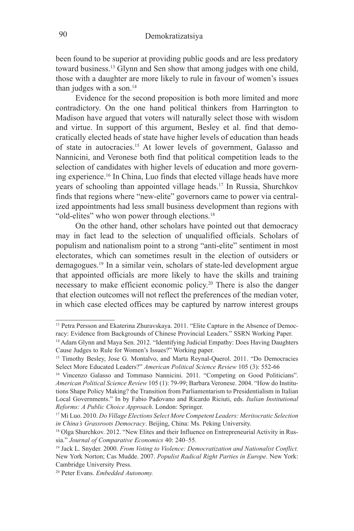been found to be superior at providing public goods and are less predatory toward business.13 Glynn and Sen show that among judges with one child, those with a daughter are more likely to rule in favour of women's issues than judges with a son. $14$ 

Evidence for the second proposition is both more limited and more contradictory. On the one hand political thinkers from Harrington to Madison have argued that voters will naturally select those with wisdom and virtue. In support of this argument, Besley et al. find that democratically elected heads of state have higher levels of education than heads of state in autocracies.<sup>15</sup> At lower levels of government, Galasso and Nannicini, and Veronese both find that political competition leads to the selection of candidates with higher levels of education and more governing experience.16 In China, Luo finds that elected village heads have more years of schooling than appointed village heads.17 In Russia, Shurchkov finds that regions where "new-elite" governors came to power via centralized appointments had less small business development than regions with "old-elites" who won power through elections.<sup>18</sup>

On the other hand, other scholars have pointed out that democracy may in fact lead to the selection of unqualified officials. Scholars of populism and nationalism point to a strong "anti-elite" sentiment in most electorates, which can sometimes result in the election of outsiders or demagogues.19 In a similar vein, scholars of state-led development argue that appointed officials are more likely to have the skills and training necessary to make efficient economic policy.20 There is also the danger that election outcomes will not reflect the preferences of the median voter, in which case elected offices may be captured by narrow interest groups

<sup>13</sup> Petra Persson and Ekaterina Zhuravskaya. 2011. "Elite Capture in the Absence of Democracy: Evidence from Backgrounds of Chinese Provincial Leaders." SSRN Working Paper.

<sup>&</sup>lt;sup>14</sup> Adam Glynn and Maya Sen. 2012. "Identifying Judicial Empathy: Does Having Daughters Cause Judges to Rule for Women's Issues?" Working paper.

<sup>15</sup> Timothy Besley, Jose G. Montalvo, and Marta Reynal-Querol. 2011. "Do Democracies Select More Educated Leaders?" *American Political Science Review* 105 (3): 552-66

<sup>16</sup> Vincenzo Galasso and Tommaso Nannicini. 2011. "Competing on Good Politicians". *American Political Science Review* 105 (1): 79-99; Barbara Veronese. 2004. "How do Institutions Shape Policy Making? the Transition from Parliamentarism to Presidentialism in Italian Local Governments." In by Fabio Padovano and Ricardo Riciuti, eds. *Italian Institutional Reforms: A Public Choice Approach*. London: Springer.

<sup>17</sup> Mi Luo. 2010. *Do Village Elections Select More Competent Leaders: Meritocratic Selection in China's Grassroots Democracy*. Beijing, China: Ms. Peking University.<br><sup>18</sup> Olga Shurchkov. 2012. "New Elites and their Influence on Entrepreneurial Activity in Rus-

sia." *Journal of Comparative Economics* 40: 240–55.

<sup>19</sup> Jack L. Snyder. 2000. *From Voting to Violence: Democratization and Nationalist Conflict.* New York Norton; Cas Mudde. 2007. *Populist Radical Right Parties in Europe.* New York: Cambridge University Press.

<sup>20</sup> Peter Evans. *Embedded Autonomy.*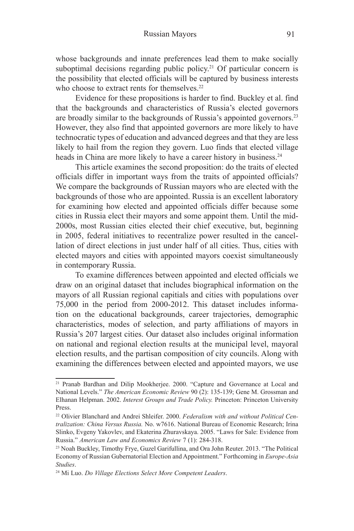whose backgrounds and innate preferences lead them to make socially suboptimal decisions regarding public policy. 21 Of particular concern is the possibility that elected officials will be captured by business interests who choose to extract rents for themselves.<sup>22</sup>

Evidence for these propositions is harder to find. Buckley et al. find that the backgrounds and characteristics of Russia's elected governors are broadly similar to the backgrounds of Russia's appointed governors.23 However, they also find that appointed governors are more likely to have technocratic types of education and advanced degrees and that they are less likely to hail from the region they govern. Luo finds that elected village heads in China are more likely to have a career history in business.<sup>24</sup>

This article examines the second proposition: do the traits of elected officials differ in important ways from the traits of appointed officials? We compare the backgrounds of Russian mayors who are elected with the backgrounds of those who are appointed. Russia is an excellent laboratory for examining how elected and appointed officials differ because some cities in Russia elect their mayors and some appoint them. Until the mid-2000s, most Russian cities elected their chief executive, but, beginning in 2005, federal initiatives to recentralize power resulted in the cancellation of direct elections in just under half of all cities. Thus, cities with elected mayors and cities with appointed mayors coexist simultaneously in contemporary Russia.

To examine differences between appointed and elected officials we draw on an original dataset that includes biographical information on the mayors of all Russian regional capitials and cities with populations over 75,000 in the period from 2000-2012. This dataset includes information on the educational backgrounds, career trajectories, demographic characteristics, modes of selection, and party affiliations of mayors in Russia's 207 largest cities. Our dataset also includes original information on national and regional election results at the municipal level, mayoral election results, and the partisan composition of city councils. Along with examining the differences between elected and appointed mayors, we use

<sup>21</sup> Pranab Bardhan and Dilip Mookherjee. 2000. "Capture and Governance at Local and National Levels." *The American Economic Review* 90 (2): 135-139; Gene M. Grossman and Elhanan Helpman. 2002. *Interest Groups and Trade Policy.* Princeton: Princeton University Press.

<sup>22</sup> Olivier Blanchard and Andrei Shleifer. 2000. *Federalism with and without Political Centralization: China Versus Russia.* No. w7616. National Bureau of Economic Research; Irina Slinko, Evgeny Yakovlev, and Ekaterina Zhuravskaya. 2005. "Laws for Sale: Evidence from Russia." *American Law and Economics Review* 7 (1): 284-318.

<sup>23</sup> Noah Buckley, Timothy Frye, Guzel Garifullina, and Ora John Reuter. 2013. "The Political Economy of Russian Gubernatorial Election and Appointment." Forthcoming in *Europe-Asia Studies*.

<sup>24</sup> Mi Luo. *Do Village Elections Select More Competent Leaders*.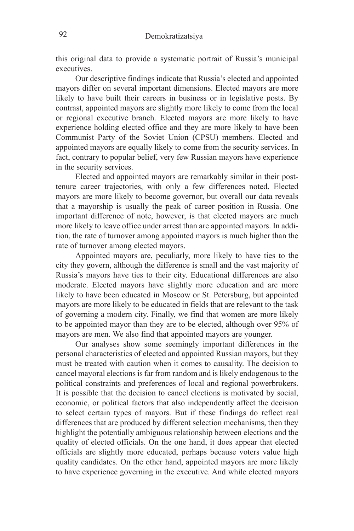this original data to provide a systematic portrait of Russia's municipal executives.

Our descriptive findings indicate that Russia's elected and appointed mayors differ on several important dimensions. Elected mayors are more likely to have built their careers in business or in legislative posts. By contrast, appointed mayors are slightly more likely to come from the local or regional executive branch. Elected mayors are more likely to have experience holding elected office and they are more likely to have been Communist Party of the Soviet Union (CPSU) members. Elected and appointed mayors are equally likely to come from the security services. In fact, contrary to popular belief, very few Russian mayors have experience in the security services.

Elected and appointed mayors are remarkably similar in their posttenure career trajectories, with only a few differences noted. Elected mayors are more likely to become governor, but overall our data reveals that a mayorship is usually the peak of career position in Russia. One important difference of note, however, is that elected mayors are much more likely to leave office under arrest than are appointed mayors. In addition, the rate of turnover among appointed mayors is much higher than the rate of turnover among elected mayors.

Appointed mayors are, peculiarly, more likely to have ties to the city they govern, although the difference is small and the vast majority of Russia's mayors have ties to their city. Educational differences are also moderate. Elected mayors have slightly more education and are more likely to have been educated in Moscow or St. Petersburg, but appointed mayors are more likely to be educated in fields that are relevant to the task of governing a modern city. Finally, we find that women are more likely to be appointed mayor than they are to be elected, although over 95% of mayors are men. We also find that appointed mayors are younger.

Our analyses show some seemingly important differences in the personal characteristics of elected and appointed Russian mayors, but they must be treated with caution when it comes to causality. The decision to cancel mayoral elections is far from random and is likely endogenous to the political constraints and preferences of local and regional powerbrokers. It is possible that the decision to cancel elections is motivated by social, economic, or political factors that also independently affect the decision to select certain types of mayors. But if these findings do reflect real differences that are produced by different selection mechanisms, then they highlight the potentially ambiguous relationship between elections and the quality of elected officials. On the one hand, it does appear that elected officials are slightly more educated, perhaps because voters value high quality candidates. On the other hand, appointed mayors are more likely to have experience governing in the executive. And while elected mayors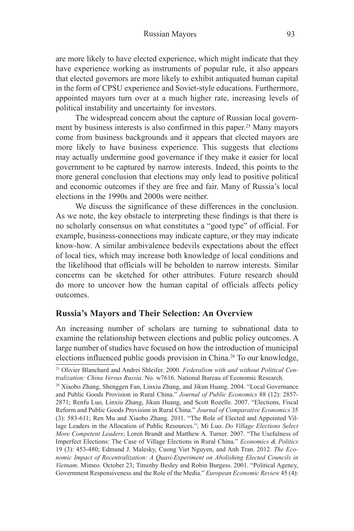are more likely to have elected experience, which might indicate that they have experience working as instruments of popular rule, it also appears that elected governors are more likely to exhibit antiquated human capital in the form of CPSU experience and Soviet-style educations. Furthermore, appointed mayors turn over at a much higher rate, increasing levels of political instability and uncertainty for investors.

The widespread concern about the capture of Russian local government by business interests is also confirmed in this paper.<sup>25</sup> Many mayors come from business backgrounds and it appears that elected mayors are more likely to have business experience. This suggests that elections may actually undermine good governance if they make it easier for local government to be captured by narrow interests. Indeed, this points to the more general conclusion that elections may only lead to positive political and economic outcomes if they are free and fair. Many of Russia's local elections in the 1990s and 2000s were neither.

We discuss the significance of these differences in the conclusion. As we note, the key obstacle to interpreting these findings is that there is no scholarly consensus on what constitutes a "good type" of official. For example, business-connections may indicate capture, or they may indicate know-how. A similar ambivalence bedevils expectations about the effect of local ties, which may increase both knowledge of local conditions and the likelihood that officials will be beholden to narrow interests. Similar concerns can be sketched for other attributes. Future research should do more to uncover how the human capital of officials affects policy outcomes.

## **Russia's Mayors and Their Selection: An Overview**

An increasing number of scholars are turning to subnational data to examine the relationship between elections and public policy outcomes. A large number of studies have focused on how the introduction of municipal elections influenced public goods provision in China.26 To our knowledge,

<sup>25</sup> Olivier Blanchard and Andrei Shleifer. 2000. *Federalism with and without Political Centralization: China Versus Russia*. No. w7616. National Bureau of Economic Research.

<sup>26</sup> Xiaobo Zhang, Shenggen Fan, Linxiu Zhang, and Jikun Huang. 2004. "Local Governance and Public Goods Provision in Rural China." *Journal of Public Economics* 88 (12): 2857- 2871; Renfu Luo, Linxiu Zhang, Jikun Huang, and Scott Rozelle. 2007. "Elections, Fiscal Reform and Public Goods Provision in Rural China." *Journal of Comparative Economics* 35 (3): 583-611; Ren Mu and Xiaobo Zhang. 2011. "The Role of Elected and Appointed Village Leaders in the Allocation of Public Resources."; Mi Luo. *Do Village Elections Select More Competent Leaders*; Loren Brandt and Matthew A. Turner. 2007. "The Usefulness of Imperfect Elections: The Case of Village Elections in Rural China." *Economics & Politics* 19 (3): 453-480; Edmund J. Malesky, Cuong Viet Nguyen, and Anh Tran. 2012. *The Economic Impact of Recentralization: A Quasi-Experiment on Abolishing Elected Councils in Vietnam*. Mimeo. October 23; Timothy Besley and Robin Burgess. 2001. "Political Agency, Government Responsiveness and the Role of the Media." *European Economic Review* 45 (4):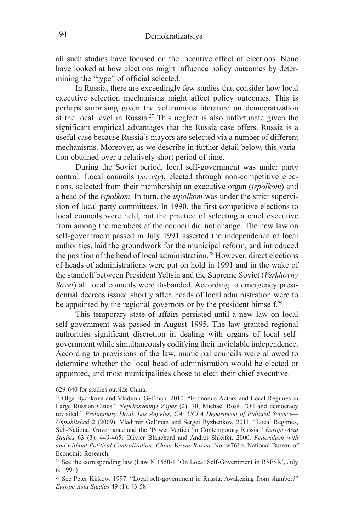all such studies have focused on the incentive effect of elections. None have looked at how elections might influence policy outcomes by determining the "type" of official selected.

In Russia, there are exceedingly few studies that consider how local executive selection mechanisms might affect policy outcomes. This is perhaps surprising given the voluminous literature on democratization at the local level in Russia.27 This neglect is also unfortunate given the significant empirical advantages that the Russia case offers. Russia is a useful case because Russia's mayors are selected via a number of different mechanisms. Moreover, as we describe in further detail below, this variation obtained over a relatively short period of time.

During the Soviet period, local self-government was under party control. Local councils (*sovety*), elected through non-competitive elections, selected from their membership an executive organ (*ispolkom*) and a head of the *ispolkom*. In turn, the *ispolkom* was under the strict supervision of local party committees. In 1990, the first competitive elections to local councils were held, but the practice of selecting a chief executive from among the members of the council did not change. The new law on self-government passed in July 1991 asserted the independence of local authorities, laid the groundwork for the municipal reform, and introduced the position of the head of local administration.<sup>28</sup> However, direct elections of heads of administrations were put on hold in 1991 and in the wake of the standoff between President Yeltsin and the Supreme Soviet (*Verkhovny Sovet*) all local councils were disbanded. According to emergency presidential decrees issued shortly after, heads of local administration were to be appointed by the regional governors or by the president himself.<sup>29</sup>

This temporary state of affairs persisted until a new law on local self-government was passed in August 1995. The law granted regional authorities significant discretion in dealing with organs of local selfgovernment while simultaneously codifying their inviolable independence. According to provisions of the law, municipal councils were allowed to determine whether the local head of administration would be elected or appointed, and most municipalities chose to elect their chief executive.

<sup>629-640</sup> for studies outside China.

<sup>27</sup> Olga Bychkova and Vladimir Gel'man. 2010. "Economic Actors and Local Regimes in Large Russian Cities." *Neprkosvennyi Zapas* (2): 70; Michael Ross. "Oil and democracy revisited." *Preliminary Draft. Los Angeles, CA: UCLA Department of Political Science— Unpublished* 2 (2009); Vladimir Gel'man and Sergei Ryzhenkov. 2011. "Local Regimes, Sub-National Governance and the 'Power Vertical'in Contemporary Russia." *Europe-Asia Studies* 63 (3): 449-465; Olivier Blanchard and Andrei Shleifer. 2000. *Federalism with and without Political Centralization: China Versus Russia*. No. w7616. National Bureau of Economic Research.

<sup>&</sup>lt;sup>28</sup> See the corresponding law (Law N 1550-1 'On Local Self-Government in RSFSR', July 6, 1991)

<sup>29</sup> See Peter Kirkow. 1997. "Local self-government in Russia: Awakening from slumber?" *Europe-Asia Studies* 49 (1): 43-58.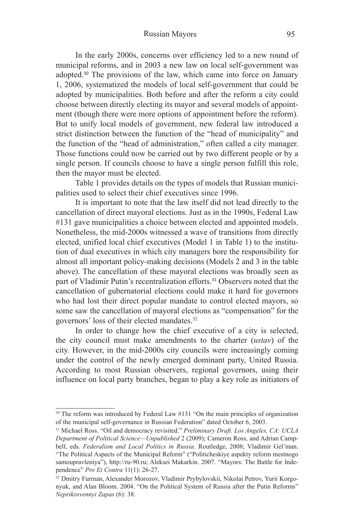In the early 2000s, concerns over efficiency led to a new round of municipal reforms, and in 2003 a new law on local self-government was adopted.<sup>30</sup> The provisions of the law, which came into force on January 1, 2006, systematized the models of local self-government that could be adopted by municipalities. Both before and after the reform a city could choose between directly electing its mayor and several models of appointment (though there were more options of appointment before the reform). But to unify local models of government, new federal law introduced a strict distinction between the function of the "head of municipality" and the function of the "head of administration," often called a city manager. Those functions could now be carried out by two different people or by a single person. If councils choose to have a single person fulfill this role, then the mayor must be elected.

Table 1 provides details on the types of models that Russian municipalities used to select their chief executives since 1996.

It is important to note that the law itself did not lead directly to the cancellation of direct mayoral elections. Just as in the 1990s, Federal Law #131 gave municipalities a choice between elected and appointed models. Nonetheless, the mid-2000s witnessed a wave of transitions from directly elected, unified local chief executives (Model 1 in Table 1) to the institution of dual executives in which city managers bore the responsibility for almost all important policy-making decisions (Models 2 and 3 in the table above). The cancellation of these mayoral elections was broadly seen as part of Vladimir Putin's recentralization efforts.<sup>31</sup> Observers noted that the cancellation of gubernatorial elections could make it hard for governors who had lost their direct popular mandate to control elected mayors, so some saw the cancellation of mayoral elections as "compensation" for the governors' loss of their elected mandates.32

In order to change how the chief executive of a city is selected, the city council must make amendments to the charter (*ustav*) of the city. However, in the mid-2000s city councils were increasingly coming under the control of the newly emerged dominant party, United Russia. According to most Russian observers, regional governors, using their influence on local party branches, began to play a key role as initiators of

<sup>&</sup>lt;sup>30</sup> The reform was introduced by Federal Law #131 "On the main principles of organization of the municipal self-governance in Russian Federation" dated October 6, 2003.

<sup>31</sup> Michael Ross. "Oil and democracy revisited." *Preliminary Draft. Los Angeles, CA: UCLA Department of Political Science—Unpublished* 2 (2009); Cameron Ross, and Adrian Campbell, eds. *Federalism and Local Politics in Russia*. Routledge, 2008; Vladimir Gel'man. "The Political Aspects of the Municipal Reform" ("Politicheskiye aspekty reform mestnogo samoupravleniya"), http://ru-90.ru; Aleksei Makarkin. 2007. "Mayors: The Battle for Independence" *Pro Et Contra* 11(1): 26-27.<br><sup>32</sup> Dmitry Furman, Alexander Morozov, Vladimir Prybylovskii, Nikolai Petrov, Yurii Korgo-

nyuk, and Alan Bloom. 2004. "On the Political System of Russia after the Putin Reforms" *Neprikosvennyi Zapas* (6): 38.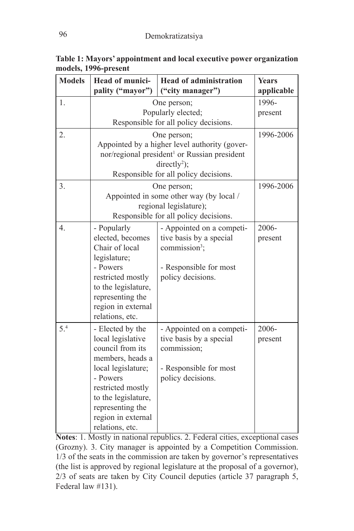| <b>Models</b> | Head of munici-                       | <b>Head of administration</b>                                                                             | <b>Years</b> |
|---------------|---------------------------------------|-----------------------------------------------------------------------------------------------------------|--------------|
|               | pality ("mayor")                      | ("city manager")                                                                                          | applicable   |
| 1.            |                                       | One person;<br>Popularly elected;                                                                         | 1996-        |
|               |                                       | present                                                                                                   |              |
|               |                                       | Responsible for all policy decisions.                                                                     |              |
| 2.            |                                       | One person;                                                                                               | 1996-2006    |
|               |                                       | Appointed by a higher level authority (gover-<br>nor/regional president <sup>1</sup> or Russian president |              |
|               |                                       | $directly^2)$ ;                                                                                           |              |
|               |                                       | Responsible for all policy decisions.                                                                     |              |
| 3.            |                                       | One person;                                                                                               | 1996-2006    |
|               |                                       | Appointed in some other way (by local /                                                                   |              |
|               |                                       | regional legislature);                                                                                    |              |
|               |                                       | Responsible for all policy decisions.                                                                     |              |
| 4.            | - Popularly                           | - Appointed on a competi-                                                                                 | 2006-        |
|               | elected, becomes<br>Chair of local    | tive basis by a special<br>commission <sup>3</sup> ;                                                      | present      |
|               | legislature;                          |                                                                                                           |              |
|               | - Powers                              | - Responsible for most                                                                                    |              |
|               | restricted mostly                     | policy decisions.                                                                                         |              |
|               | to the legislature,                   |                                                                                                           |              |
|               | representing the                      |                                                                                                           |              |
|               | region in external                    |                                                                                                           |              |
|               | relations, etc.                       |                                                                                                           |              |
| 5.4           | - Elected by the                      | - Appointed on a competi-                                                                                 | 2006-        |
|               | local legislative<br>council from its | tive basis by a special<br>commission;                                                                    | present      |
|               | members, heads a                      |                                                                                                           |              |
|               | local legislature;                    | - Responsible for most                                                                                    |              |
|               | - Powers                              | policy decisions.                                                                                         |              |
|               | restricted mostly                     |                                                                                                           |              |
|               | to the legislature,                   |                                                                                                           |              |
|               | representing the                      |                                                                                                           |              |
|               | region in external                    |                                                                                                           |              |
|               | relations, etc.                       |                                                                                                           |              |

**Table 1: Mayors' appointment and local executive power organization models, 1996-present** 

**Notes**: 1. Mostly in national republics. 2. Federal cities, exceptional cases (Grozny). 3. City manager is appointed by a Competition Commission. 1/3 of the seats in the commission are taken by governor's representatives (the list is approved by regional legislature at the proposal of a governor), 2/3 of seats are taken by City Council deputies (article 37 paragraph 5, Federal law #131).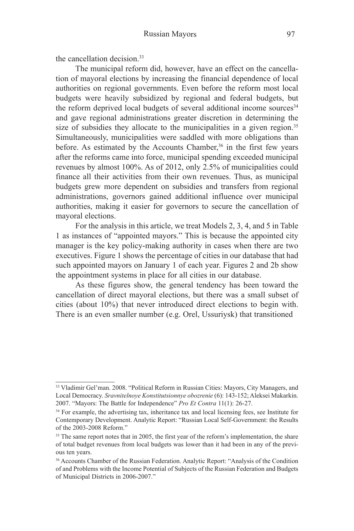the cancellation decision.33

The municipal reform did, however, have an effect on the cancellation of mayoral elections by increasing the financial dependence of local authorities on regional governments. Even before the reform most local budgets were heavily subsidized by regional and federal budgets, but the reform deprived local budgets of several additional income sources<sup>34</sup> and gave regional administrations greater discretion in determining the size of subsidies they allocate to the municipalities in a given region.<sup>35</sup> Simultaneously, municipalities were saddled with more obligations than before. As estimated by the Accounts Chamber,<sup>36</sup> in the first few years after the reforms came into force, municipal spending exceeded municipal revenues by almost 100%. As of 2012, only 2.5% of municipalities could finance all their activities from their own revenues. Thus, as municipal budgets grew more dependent on subsidies and transfers from regional administrations, governors gained additional influence over municipal authorities, making it easier for governors to secure the cancellation of mayoral elections.

For the analysis in this article, we treat Models 2, 3, 4, and 5 in Table 1 as instances of "appointed mayors." This is because the appointed city manager is the key policy-making authority in cases when there are two executives. Figure 1 shows the percentage of cities in our database that had such appointed mayors on January 1 of each year. Figures 2 and 2b show the appointment systems in place for all cities in our database.

As these figures show, the general tendency has been toward the cancellation of direct mayoral elections, but there was a small subset of cities (about 10%) that never introduced direct elections to begin with. There is an even smaller number (e.g. Orel, Ussuriysk) that transitioned

<sup>33</sup> Vladimir Gel'man. 2008. "Political Reform in Russian Cities: Mayors, City Managers, and Local Democracy. *Sravnitelnoye Konstitutsionnye obozrenie* (6): 143-152; Aleksei Makarkin. 2007. "Mayors: The Battle for Independence" *Pro Et Contra* 11(1): 26-27.

<sup>&</sup>lt;sup>34</sup> For example, the advertising tax, inheritance tax and local licensing fees, see Institute for Contemporary Development. Analytic Report: "Russian Local Self-Government: the Results of the 2003-2008 Reform."

<sup>&</sup>lt;sup>35</sup> The same report notes that in 2005, the first year of the reform's implementation, the share of total budget revenues from local budgets was lower than it had been in any of the previous ten years.

<sup>36</sup> Accounts Chamber of the Russian Federation. Analytic Report: "Analysis of the Condition of and Problems with the Income Potential of Subjects of the Russian Federation and Budgets of Municipal Districts in 2006-2007."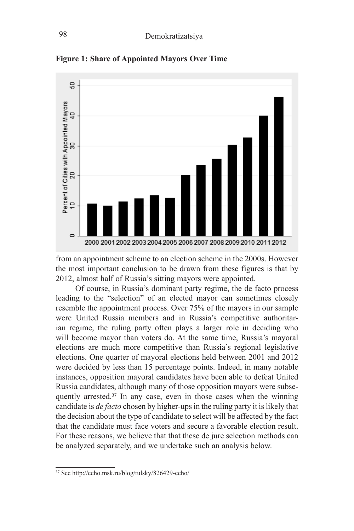

**Figure 1: Share of Appointed Mayors Over Time**

from an appointment scheme to an election scheme in the 2000s. However the most important conclusion to be drawn from these figures is that by 2012, almost half of Russia's sitting mayors were appointed.

Of course, in Russia's dominant party regime, the de facto process leading to the "selection" of an elected mayor can sometimes closely resemble the appointment process. Over 75% of the mayors in our sample were United Russia members and in Russia's competitive authoritarian regime, the ruling party often plays a larger role in deciding who will become mayor than voters do. At the same time, Russia's mayoral elections are much more competitive than Russia's regional legislative elections. One quarter of mayoral elections held between 2001 and 2012 were decided by less than 15 percentage points. Indeed, in many notable instances, opposition mayoral candidates have been able to defeat United Russia candidates, although many of those opposition mayors were subsequently arrested.<sup>37</sup> In any case, even in those cases when the winning candidate is *de facto* chosen by higher-ups in the ruling party it is likely that the decision about the type of candidate to select will be affected by the fact that the candidate must face voters and secure a favorable election result. For these reasons, we believe that that these de jure selection methods can be analyzed separately, and we undertake such an analysis below.

<sup>37</sup> See http://echo.msk.ru/blog/tulsky/826429-echo/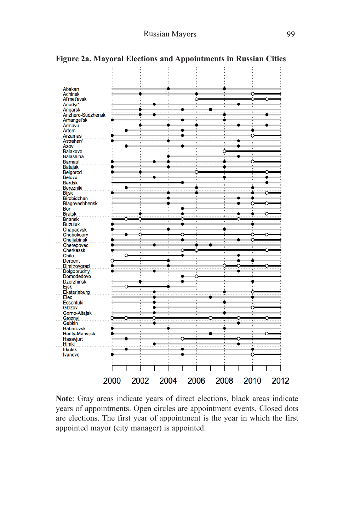

**Figure 2a. Mayoral Elections and Appointments in Russian Cities**

**Note**: Gray areas indicate years of direct elections, black areas indicate years of appointments. Open circles are appointment events. Closed dots are elections. The first year of appointment is the year in which the first appointed mayor (city manager) is appointed.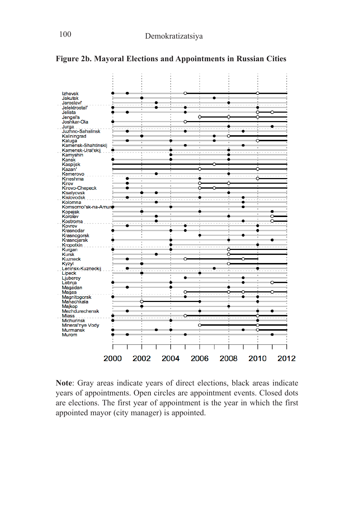

**Figure 2b. Mayoral Elections and Appointments in Russian Cities** 

**Note**: Gray areas indicate years of direct elections, black areas indicate years of appointments. Open circles are appointment events. Closed dots are elections. The first year of appointment is the year in which the first appointed mayor (city manager) is appointed.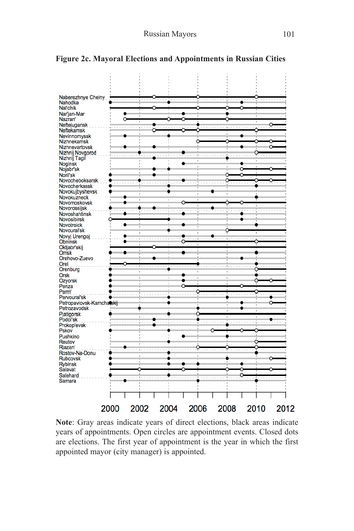

#### **Figure 2c. Mayoral Elections and Appointments in Russian Cities**

**Note**: Gray areas indicate years of direct elections, black areas indicate years of appointments. Open circles are appointment events. Closed dots are elections. The first year of appointment is the year in which the first appointed mayor (city manager) is appointed.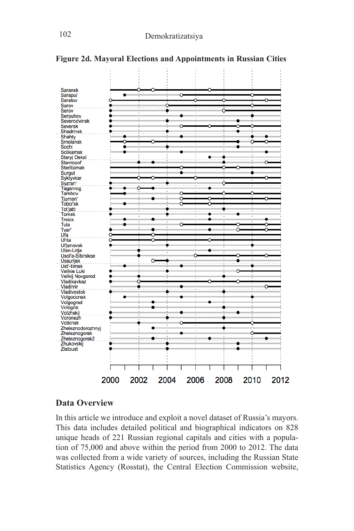

**Figure 2d. Mayoral Elections and Appointments in Russian Cities**

## **Data Overview**

In this article we introduce and exploit a novel dataset of Russia's mayors. This data includes detailed political and biographical indicators on 828 unique heads of 221 Russian regional capitals and cities with a population of 75,000 and above within the period from 2000 to 2012. The data was collected from a wide variety of sources, including the Russian State Statistics Agency (Rosstat), the Central Election Commission website,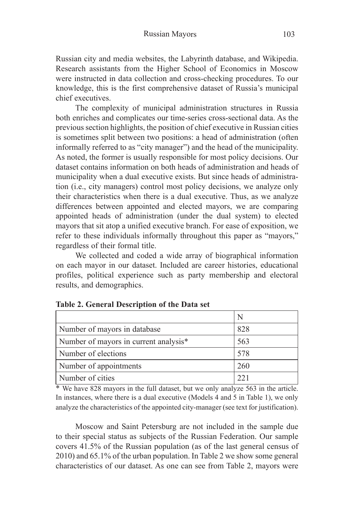Russian city and media websites, the Labyrinth database, and Wikipedia. Research assistants from the Higher School of Economics in Moscow were instructed in data collection and cross-checking procedures. To our knowledge, this is the first comprehensive dataset of Russia's municipal chief executives.

The complexity of municipal administration structures in Russia both enriches and complicates our time-series cross-sectional data. As the previous section highlights, the position of chief executive in Russian cities is sometimes split between two positions: a head of administration (often informally referred to as "city manager") and the head of the municipality. As noted, the former is usually responsible for most policy decisions. Our dataset contains information on both heads of administration and heads of municipality when a dual executive exists. But since heads of administration (i.e., city managers) control most policy decisions, we analyze only their characteristics when there is a dual executive. Thus, as we analyze differences between appointed and elected mayors, we are comparing appointed heads of administration (under the dual system) to elected mayors that sit atop a unified executive branch. For ease of exposition, we refer to these individuals informally throughout this paper as "mayors," regardless of their formal title.

We collected and coded a wide array of biographical information on each mayor in our dataset. Included are career histories, educational profiles, political experience such as party membership and electoral results, and demographics.

|                                       | N   |
|---------------------------------------|-----|
| Number of mayors in database          | 828 |
| Number of mayors in current analysis* | 563 |
| Number of elections                   | 578 |
| Number of appointments                | 260 |
| Number of cities                      |     |

| Table 2. General Description of the Data set |  |
|----------------------------------------------|--|
|----------------------------------------------|--|

\* We have 828 mayors in the full dataset, but we only analyze 563 in the article. In instances, where there is a dual executive (Models 4 and 5 in Table 1), we only analyze the characteristics of the appointed city-manager (see text for justification).

Moscow and Saint Petersburg are not included in the sample due to their special status as subjects of the Russian Federation. Our sample covers 41.5% of the Russian population (as of the last general census of 2010) and 65.1% of the urban population. In Table 2 we show some general characteristics of our dataset. As one can see from Table 2, mayors were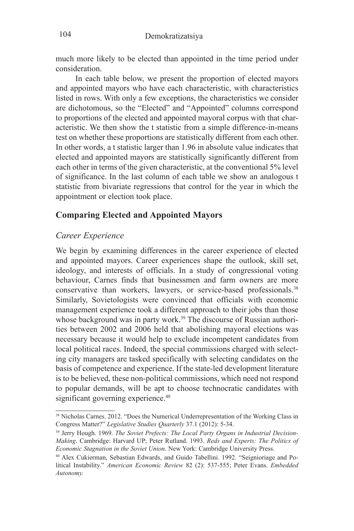much more likely to be elected than appointed in the time period under consideration.

In each table below, we present the proportion of elected mayors and appointed mayors who have each characteristic, with characteristics listed in rows. With only a few exceptions, the characteristics we consider are dichotomous, so the "Elected" and "Appointed" columns correspond to proportions of the elected and appointed mayoral corpus with that characteristic. We then show the t statistic from a simple difference-in-means test on whether these proportions are statistically different from each other. In other words, a t statistic larger than 1.96 in absolute value indicates that elected and appointed mayors are statistically significantly different from each other in terms of the given characteristic, at the conventional 5% level of significance. In the last column of each table we show an analogous t statistic from bivariate regressions that control for the year in which the appointment or election took place.

## **Comparing Elected and Appointed Mayors**

## *Career Experience*

We begin by examining differences in the career experience of elected and appointed mayors. Career experiences shape the outlook, skill set, ideology, and interests of officials. In a study of congressional voting behaviour, Carnes finds that businessmen and farm owners are more conservative than workers, lawyers, or service-based professionals.<sup>38</sup> Similarly, Sovietologists were convinced that officials with economic management experience took a different approach to their jobs than those whose background was in party work.<sup>39</sup> The discourse of Russian authorities between 2002 and 2006 held that abolishing mayoral elections was necessary because it would help to exclude incompetent candidates from local political races. Indeed, the special commissions charged with selecting city managers are tasked specifically with selecting candidates on the basis of competence and experience. If the state-led development literature is to be believed, these non-political commissions, which need not respond to popular demands, will be apt to choose technocratic candidates with significant governing experience.<sup>40</sup>

<sup>38</sup> Nicholas Carnes. 2012. "Does the Numerical Underrepresentation of the Working Class in Congress Matter?" *Legislative Studies Quarterly* 37.1 (2012): 5-34.

<sup>39</sup> Jerry Hough. 1969. *The Soviet Prefects: The Local Party Organs in Industrial Decision-Making*. Cambridge: Harvard UP; Peter Rutland. 1993. *Reds and Experts: The Politics of Economic Stagnation in the Soviet Union*. New York: Cambridge University Press.

<sup>40</sup> Alex Cukierman, Sebastian Edwards, and Guido Tabellini. 1992. "Seignioriage and Political Instability." *American Economic Review* 82 (2): 537-555; Peter Evans. *Embedded Autonomy.*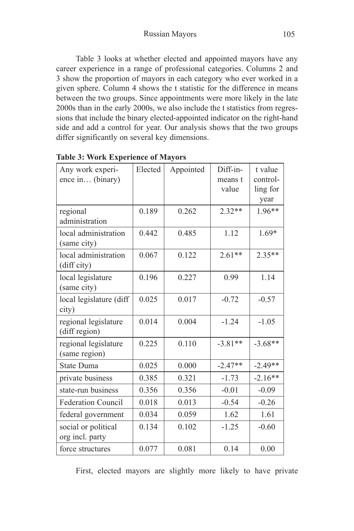Table 3 looks at whether elected and appointed mayors have any career experience in a range of professional categories. Columns 2 and 3 show the proportion of mayors in each category who ever worked in a given sphere. Column 4 shows the t statistic for the difference in means between the two groups. Since appointments were more likely in the late 2000s than in the early 2000s, we also include the t statistics from regressions that include the binary elected-appointed indicator on the right-hand side and add a control for year. Our analysis shows that the two groups differ significantly on several key dimensions.

| Any work experi-<br>ence in (binary)   | Elected | Appointed | Diff-in-<br>means t<br>value | t value<br>control-<br>ling for<br>year |
|----------------------------------------|---------|-----------|------------------------------|-----------------------------------------|
| regional<br>administration             | 0.189   | 0.262     | $2.32**$                     | $1.96**$                                |
| local administration<br>(same city)    | 0.442   | 0.485     | 1.12                         | $1.69*$                                 |
| local administration<br>(diff city)    | 0.067   | 0.122     | $2.61**$                     | $2.35**$                                |
| local legislature<br>(same city)       | 0.196   | 0.227     | 0.99                         | 1.14                                    |
| local legislature (diff<br>city)       | 0.025   | 0.017     | $-0.72$                      | $-0.57$                                 |
| regional legislature<br>(diff region)  | 0.014   | 0.004     | $-1.24$                      | $-1.05$                                 |
| regional legislature<br>(same region)  | 0.225   | 0.110     | $-3.81**$                    | $-3.68**$                               |
| State Duma                             | 0.025   | 0.000     | $-2.47**$                    | $-2.49**$                               |
| private business                       | 0.385   | 0.321     | $-1.73$                      | $-2.16**$                               |
| state-run business                     | 0.356   | 0.356     | $-0.01$                      | $-0.09$                                 |
| Federation Council                     | 0.018   | 0.013     | $-0.54$                      | $-0.26$                                 |
| federal government                     | 0.034   | 0.059     | 1.62                         | 1.61                                    |
| social or political<br>org incl. party | 0.134   | 0.102     | $-1.25$                      | $-0.60$                                 |
| force structures                       | 0.077   | 0.081     | 0.14                         | 0.00                                    |

|  | <b>Table 3: Work Experience of Mayors</b> |  |
|--|-------------------------------------------|--|
|  |                                           |  |

First, elected mayors are slightly more likely to have private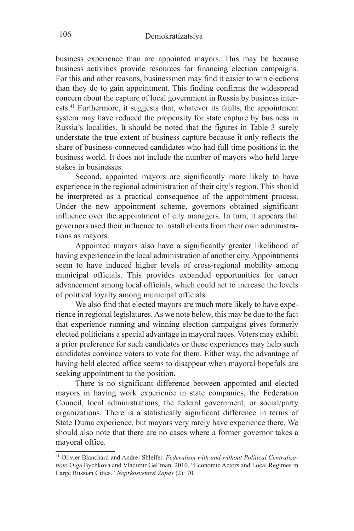business experience than are appointed mayors. This may be because business activities provide resources for financing election campaigns. For this and other reasons, businessmen may find it easier to win elections than they do to gain appointment. This finding confirms the widespread concern about the capture of local government in Russia by business interests.<sup>41</sup> Furthermore, it suggests that, whatever its faults, the appointment system may have reduced the propensity for state capture by business in Russia's localities. It should be noted that the figures in Table 3 surely understate the true extent of business capture because it only reflects the share of business-connected candidates who had full time positions in the business world. It does not include the number of mayors who held large stakes in businesses.

Second, appointed mayors are significantly more likely to have experience in the regional administration of their city's region. This should be interpreted as a practical consequence of the appointment process. Under the new appointment scheme, governors obtained significant influence over the appointment of city managers. In turn, it appears that governors used their influence to install clients from their own administrations as mayors.

Appointed mayors also have a significantly greater likelihood of having experience in the local administration of another city. Appointments seem to have induced higher levels of cross-regional mobility among municipal officials. This provides expanded opportunities for career advancement among local officials, which could act to increase the levels of political loyalty among municipal officials.

We also find that elected mayors are much more likely to have experience in regional legislatures. As we note below, this may be due to the fact that experience running and winning election campaigns gives formerly elected politicians a special advantage in mayoral races. Voters may exhibit a prior preference for such candidates or these experiences may help such candidates convince voters to vote for them. Either way, the advantage of having held elected office seems to disappear when mayoral hopefuls are seeking appointment to the position.

There is no significant difference between appointed and elected mayors in having work experience in state companies, the Federation Council, local administrations, the federal government, or social/party organizations. There is a statistically significant difference in terms of State Duma experience, but mayors very rarely have experience there. We should also note that there are no cases where a former governor takes a mayoral office.

<sup>41</sup> Olivier Blanchard and Andrei Shleifer. *Federalism with and without Political Centralization*; Olga Bychkova and Vladimir Gel'man. 2010. "Economic Actors and Local Regimes in Large Russian Cities." *Neprkosvennyi Zapas* (2): 70.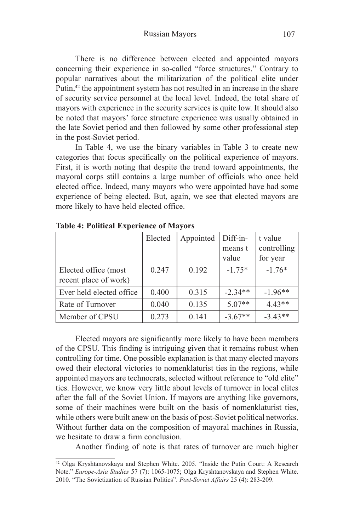There is no difference between elected and appointed mayors concerning their experience in so-called "force structures." Contrary to popular narratives about the militarization of the political elite under Putin,<sup>42</sup> the appointment system has not resulted in an increase in the share of security service personnel at the local level. Indeed, the total share of mayors with experience in the security services is quite low. It should also be noted that mayors' force structure experience was usually obtained in the late Soviet period and then followed by some other professional step in the post-Soviet period.

In Table 4, we use the binary variables in Table 3 to create new categories that focus specifically on the political experience of mayors. First, it is worth noting that despite the trend toward appointments, the mayoral corps still contains a large number of officials who once held elected office. Indeed, many mayors who were appointed have had some experience of being elected. But, again, we see that elected mayors are more likely to have held elected office.

|                                               | Elected | Appointed | Diff-in-<br>means t<br>value | t value<br>controlling<br>for year |
|-----------------------------------------------|---------|-----------|------------------------------|------------------------------------|
| Elected office (most<br>recent place of work) | 0.247   | 0.192     | $-1.75*$                     | $-1.76*$                           |
| Ever held elected office                      | 0.400   | 0.315     | $-2.34**$                    | $-1.96**$                          |
| Rate of Turnover                              | 0.040   | 0.135     | $5.07**$                     | $4.43**$                           |
| Member of CPSU                                | 0.273   | 0.141     | $-3.67**$                    | $-3.43**$                          |

**Table 4: Political Experience of Mayors**

Elected mayors are significantly more likely to have been members of the CPSU. This finding is intriguing given that it remains robust when controlling for time. One possible explanation is that many elected mayors owed their electoral victories to nomenklaturist ties in the regions, while appointed mayors are technocrats, selected without reference to "old elite" ties. However, we know very little about levels of turnover in local elites after the fall of the Soviet Union. If mayors are anything like governors, some of their machines were built on the basis of nomenklaturist ties, while others were built anew on the basis of post-Soviet political networks. Without further data on the composition of mayoral machines in Russia, we hesitate to draw a firm conclusion.

Another finding of note is that rates of turnover are much higher

<sup>42</sup> Olga Kryshtanovskaya and Stephen White. 2005. "Inside the Putin Court: A Research Note." *Europe-Asia Studies* 57 (7): 1065-1075; Olga Kryshtanovskaya and Stephen White. 2010. "The Sovietization of Russian Politics". *Post-Soviet Affairs* 25 (4): 283-209.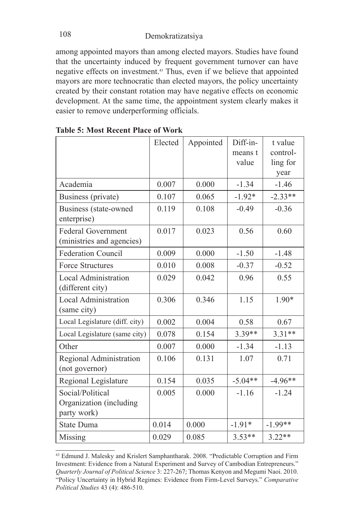among appointed mayors than among elected mayors. Studies have found that the uncertainty induced by frequent government turnover can have negative effects on investment.43 Thus, even if we believe that appointed mayors are more technocratic than elected mayors, the policy uncertainty created by their constant rotation may have negative effects on economic development. At the same time, the appointment system clearly makes it easier to remove underperforming officials.

|                                                            | Elected | Appointed | Diff-in-<br>means t<br>value | t value<br>control-<br>ling for<br>year |
|------------------------------------------------------------|---------|-----------|------------------------------|-----------------------------------------|
| Academia                                                   | 0.007   | 0.000     | $-1.34$                      | $-1.46$                                 |
| Business (private)                                         | 0.107   | 0.065     | $-1.92*$                     | $-2.33**$                               |
| Business (state-owned<br>enterprise)                       | 0.119   | 0.108     | $-0.49$                      | $-0.36$                                 |
| <b>Federal Government</b><br>(ministries and agencies)     | 0.017   | 0.023     | 0.56                         | 0.60                                    |
| <b>Federation Council</b>                                  | 0.009   | 0.000     | $-1.50$                      | $-1.48$                                 |
| <b>Force Structures</b>                                    | 0.010   | 0.008     | $-0.37$                      | $-0.52$                                 |
| <b>Local Administration</b><br>(different city)            | 0.029   | 0.042     | 0.96                         | 0.55                                    |
| <b>Local Administration</b><br>(same city)                 | 0.306   | 0.346     | 1.15                         | 1.90*                                   |
| Local Legislature (diff. city)                             | 0.002   | 0.004     | 0.58                         | 0.67                                    |
| Local Legislature (same city)                              | 0.078   | 0.154     | $3.39**$                     | $3.31**$                                |
| Other                                                      | 0.007   | 0.000     | $-1.34$                      | $-1.13$                                 |
| Regional Administration<br>(not governor)                  | 0.106   | 0.131     | 1.07                         | 0.71                                    |
| Regional Legislature                                       | 0.154   | 0.035     | $-5.04**$                    | $-4.96**$                               |
| Social/Political<br>Organization (including<br>party work) | 0.005   | 0.000     | $-1.16$                      | $-1.24$                                 |
| State Duma                                                 | 0.014   | 0.000     | $-1.91*$                     | $-1.99**$                               |
| Missing                                                    | 0.029   | 0.085     | $3.53**$                     | $3.22**$                                |

**Table 5: Most Recent Place of Work** 

<sup>43</sup> Edmund J. Malesky and Krislert Samphantharak. 2008. "Predictable Corruption and Firm Investment: Evidence from a Natural Experiment and Survey of Cambodian Entrepreneurs." *Quarterly Journal of Political Science* 3: 227-267; Thomas Kenyon and Megumi Naoi. 2010. "Policy Uncertainty in Hybrid Regimes: Evidence from Firm-Level Surveys." *Comparative Political Studies* 43 (4): 486-510.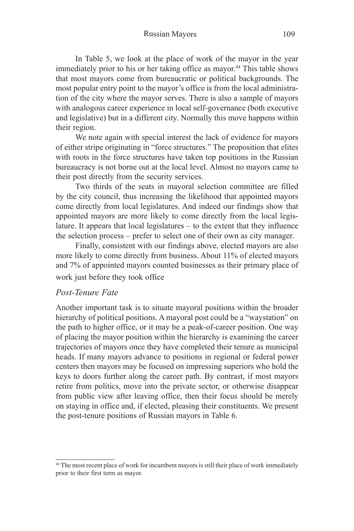Russian Mayors 109

In Table 5, we look at the place of work of the mayor in the year immediately prior to his or her taking office as mayor.<sup>44</sup> This table shows that most mayors come from bureaucratic or political backgrounds. The most popular entry point to the mayor's office is from the local administration of the city where the mayor serves. There is also a sample of mayors with analogous career experience in local self-governance (both executive and legislative) but in a different city. Normally this move happens within their region.

We note again with special interest the lack of evidence for mayors of either stripe originating in "force structures." The proposition that elites with roots in the force structures have taken top positions in the Russian bureaucracy is not borne out at the local level. Almost no mayors came to their post directly from the security services.

Two thirds of the seats in mayoral selection committee are filled by the city council, thus increasing the likelihood that appointed mayors come directly from local legislatures. And indeed our findings show that appointed mayors are more likely to come directly from the local legislature. It appears that local legislatures – to the extent that they influence the selection process – prefer to select one of their own as city manager.

Finally, consistent with our findings above, elected mayors are also more likely to come directly from business. About 11% of elected mayors and 7% of appointed mayors counted businesses as their primary place of work just before they took office

### *Post-Tenure Fate*

Another important task is to situate mayoral positions within the broader hierarchy of political positions. A mayoral post could be a "waystation" on the path to higher office, or it may be a peak-of-career position. One way of placing the mayor position within the hierarchy is examining the career trajectories of mayors once they have completed their tenure as municipal heads. If many mayors advance to positions in regional or federal power centers then mayors may be focused on impressing superiors who hold the keys to doors further along the career path. By contrast, if most mayors retire from politics, move into the private sector, or otherwise disappear from public view after leaving office, then their focus should be merely on staying in office and, if elected, pleasing their constituents. We present the post-tenure positions of Russian mayors in Table 6.

<sup>&</sup>lt;sup>44</sup> The most recent place of work for incumbent mayors is still their place of work immediately prior to their first term as mayor.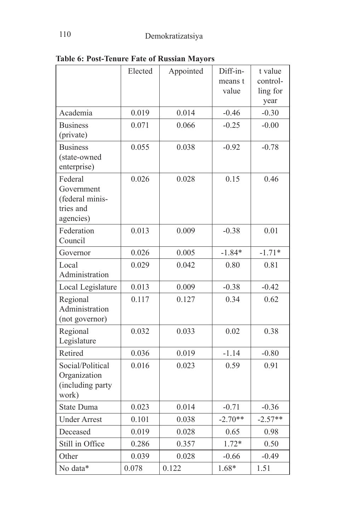|                                                                    | Elected | Appointed | Diff-in-<br>means t<br>value | t value<br>control-<br>ling for<br>year |
|--------------------------------------------------------------------|---------|-----------|------------------------------|-----------------------------------------|
| Academia                                                           | 0.019   | 0.014     | $-0.46$                      | $-0.30$                                 |
| <b>Business</b><br>(private)                                       | 0.071   | 0.066     | $-0.25$                      | $-0.00$                                 |
| <b>Business</b><br>(state-owned<br>enterprise)                     | 0.055   | 0.038     | $-0.92$                      | $-0.78$                                 |
| Federal<br>Government<br>(federal minis-<br>tries and<br>agencies) | 0.026   | 0.028     | 0.15                         | 0.46                                    |
| Federation<br>Council                                              | 0.013   | 0.009     | $-0.38$                      | 0.01                                    |
| Governor                                                           | 0.026   | 0.005     | $-1.84*$                     | $-1.71*$                                |
| Local<br>Administration                                            | 0.029   | 0.042     | 0.80                         | 0.81                                    |
| Local Legislature                                                  | 0.013   | 0.009     | $-0.38$                      | $-0.42$                                 |
| Regional<br>Administration<br>(not governor)                       | 0.117   | 0.127     | 0.34                         | 0.62                                    |
| Regional<br>Legislature                                            | 0.032   | 0.033     | 0.02                         | 0.38                                    |
| Retired                                                            | 0.036   | 0.019     | $-1.14$                      | $-0.80$                                 |
| Social/Political<br>Organization<br>(including party<br>work)      | 0.016   | 0.023     | 0.59                         | 0.91                                    |
| State Duma                                                         | 0.023   | 0.014     | $-0.71$                      | $-0.36$                                 |
| <b>Under Arrest</b>                                                | 0.101   | 0.038     | $-2.70**$                    | $-2.57**$                               |
| Deceased                                                           | 0.019   | 0.028     | 0.65                         | 0.98                                    |
| Still in Office                                                    | 0.286   | 0.357     | $1.72*$                      | 0.50                                    |
| Other                                                              | 0.039   | 0.028     | $-0.66$                      | $-0.49$                                 |
| No data*                                                           | 0.078   | 0.122     | 1.68*                        | 1.51                                    |

**Table 6: Post-Tenure Fate of Russian Mayors**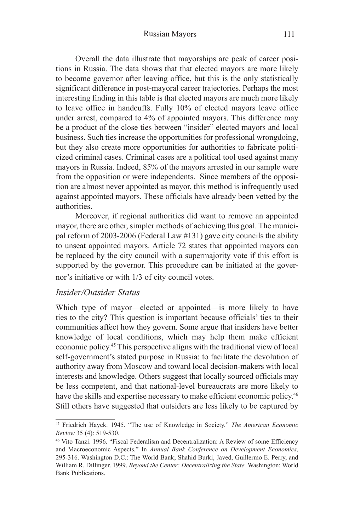#### Russian Mayors 111

Overall the data illustrate that mayorships are peak of career positions in Russia. The data shows that that elected mayors are more likely to become governor after leaving office, but this is the only statistically significant difference in post-mayoral career trajectories. Perhaps the most interesting finding in this table is that elected mayors are much more likely to leave office in handcuffs. Fully 10% of elected mayors leave office under arrest, compared to 4% of appointed mayors. This difference may be a product of the close ties between "insider" elected mayors and local business. Such ties increase the opportunities for professional wrongdoing, but they also create more opportunities for authorities to fabricate politicized criminal cases. Criminal cases are a political tool used against many mayors in Russia. Indeed, 85% of the mayors arrested in our sample were from the opposition or were independents. Since members of the opposition are almost never appointed as mayor, this method is infrequently used against appointed mayors. These officials have already been vetted by the authorities.

Moreover, if regional authorities did want to remove an appointed mayor, there are other, simpler methods of achieving this goal. The municipal reform of 2003-2006 (Federal Law #131) gave city councils the ability to unseat appointed mayors. Article 72 states that appointed mayors can be replaced by the city council with a supermajority vote if this effort is supported by the governor. This procedure can be initiated at the governor's initiative or with 1/3 of city council votes.

#### *Insider/Outsider Status*

Which type of mayor—elected or appointed—is more likely to have ties to the city? This question is important because officials' ties to their communities affect how they govern. Some argue that insiders have better knowledge of local conditions, which may help them make efficient economic policy.<sup>45</sup> This perspective aligns with the traditional view of local self-government's stated purpose in Russia: to facilitate the devolution of authority away from Moscow and toward local decision-makers with local interests and knowledge. Others suggest that locally sourced officials may be less competent, and that national-level bureaucrats are more likely to have the skills and expertise necessary to make efficient economic policy.<sup>46</sup> Still others have suggested that outsiders are less likely to be captured by

<sup>45</sup> Friedrich Hayek. 1945. "The use of Knowledge in Society." *The American Economic Review* 35 (4): 519-530.

<sup>46</sup> Vito Tanzi. 1996. "Fiscal Federalism and Decentralization: A Review of some Efficiency and Macroeconomic Aspects." In *Annual Bank Conference on Development Economics*, 295-316. Washington D.C.: The World Bank; Shahid Burki, Javed, Guillermo E. Perry, and William R. Dillinger. 1999. *Beyond the Center: Decentralizing the State.* Washington: World Bank Publications.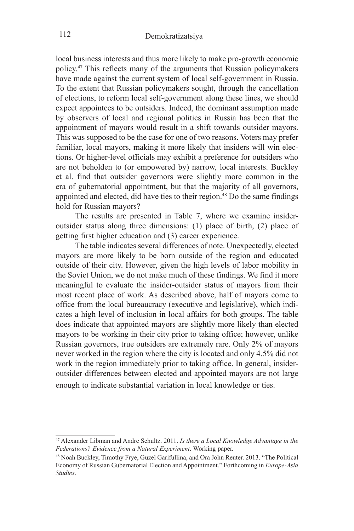local business interests and thus more likely to make pro-growth economic policy.47 This reflects many of the arguments that Russian policymakers have made against the current system of local self-government in Russia. To the extent that Russian policymakers sought, through the cancellation of elections, to reform local self-government along these lines, we should expect appointees to be outsiders. Indeed, the dominant assumption made by observers of local and regional politics in Russia has been that the appointment of mayors would result in a shift towards outsider mayors. This was supposed to be the case for one of two reasons. Voters may prefer familiar, local mayors, making it more likely that insiders will win elections. Or higher-level officials may exhibit a preference for outsiders who are not beholden to (or empowered by) narrow, local interests. Buckley et al. find that outsider governors were slightly more common in the era of gubernatorial appointment, but that the majority of all governors, appointed and elected, did have ties to their region.48 Do the same findings hold for Russian mayors?

The results are presented in Table 7, where we examine insideroutsider status along three dimensions: (1) place of birth, (2) place of getting first higher education and (3) career experience.

The table indicates several differences of note. Unexpectedly, elected mayors are more likely to be born outside of the region and educated outside of their city. However, given the high levels of labor mobility in the Soviet Union, we do not make much of these findings. We find it more meaningful to evaluate the insider-outsider status of mayors from their most recent place of work. As described above, half of mayors come to office from the local bureaucracy (executive and legislative), which indicates a high level of inclusion in local affairs for both groups. The table does indicate that appointed mayors are slightly more likely than elected mayors to be working in their city prior to taking office; however, unlike Russian governors, true outsiders are extremely rare. Only 2% of mayors never worked in the region where the city is located and only 4.5% did not work in the region immediately prior to taking office. In general, insideroutsider differences between elected and appointed mayors are not large enough to indicate substantial variation in local knowledge or ties.

<sup>47</sup> Alexander Libman and Andre Schultz. 2011. *Is there a Local Knowledge Advantage in the Federations? Evidence from a Natural Experiment*. Working paper.

<sup>48</sup> Noah Buckley, Timothy Frye, Guzel Garifullina, and Ora John Reuter. 2013. "The Political Economy of Russian Gubernatorial Election and Appointment." Forthcoming in *Europe-Asia Studies*.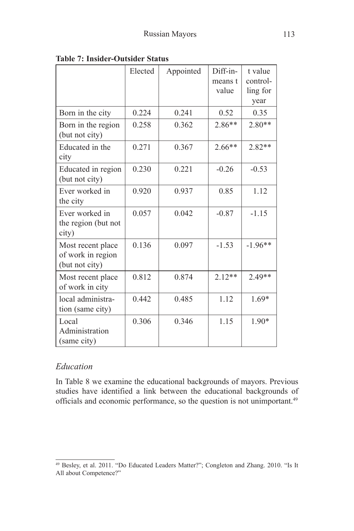|                                                          | Elected | Appointed | Diff-in-<br>means t<br>value | t value<br>control-<br>ling for<br>year |
|----------------------------------------------------------|---------|-----------|------------------------------|-----------------------------------------|
| Born in the city                                         | 0.224   | 0.241     | 0.52                         | 0.35                                    |
| Born in the region<br>(but not city)                     | 0.258   | 0.362     | $2.86**$                     | $2.80**$                                |
| Educated in the<br>city                                  | 0.271   | 0.367     | $2.66**$                     | $2.82**$                                |
| Educated in region<br>(but not city)                     | 0.230   | 0.221     | $-0.26$                      | $-0.53$                                 |
| Ever worked in<br>the city                               | 0.920   | 0.937     | 0.85                         | 1.12                                    |
| Ever worked in<br>the region (but not<br>city)           | 0.057   | 0.042     | $-0.87$                      | $-1.15$                                 |
| Most recent place<br>of work in region<br>(but not city) | 0.136   | 0.097     | $-1.53$                      | $-1.96**$                               |
| Most recent place<br>of work in city                     | 0.812   | 0.874     | $2.12**$                     | $2.49**$                                |
| local administra-<br>tion (same city)                    | 0.442   | 0.485     | 1.12                         | $1.69*$                                 |
| Local<br>Administration<br>(same city)                   | 0.306   | 0.346     | 1.15                         | $1.90*$                                 |

**Table 7: Insider-Outsider Status**

## *Education*

In Table 8 we examine the educational backgrounds of mayors. Previous studies have identified a link between the educational backgrounds of officials and economic performance, so the question is not unimportant. 49

<sup>49</sup> Besley, et al. 2011. "Do Educated Leaders Matter?"; Congleton and Zhang. 2010. "Is It All about Competence?"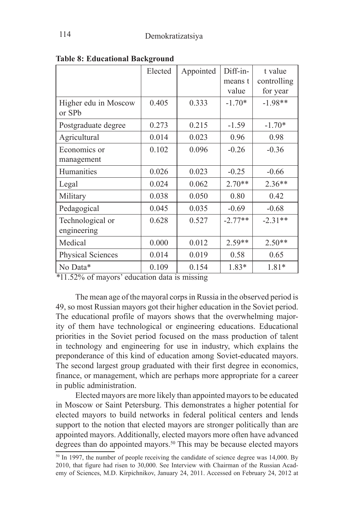|                      | Elected | Appointed | Diff-in-  | t value     |
|----------------------|---------|-----------|-----------|-------------|
|                      |         |           | means t   | controlling |
|                      |         |           | value     | for year    |
| Higher edu in Moscow | 0.405   | 0.333     | $-1.70*$  | $-1.98**$   |
| or SP <sub>b</sub>   |         |           |           |             |
| Postgraduate degree  | 0.273   | 0.215     | $-1.59$   | $-1.70*$    |
| Agricultural         | 0.014   | 0.023     | 0.96      | 0.98        |
| Economics or         | 0.102   | 0.096     | $-0.26$   | $-0.36$     |
| management           |         |           |           |             |
| Humanities           | 0.026   | 0.023     | $-0.25$   | $-0.66$     |
| Legal                | 0.024   | 0.062     | $2.70**$  | $2.36**$    |
| Military             | 0.038   | 0.050     | 0.80      | 0.42        |
| Pedagogical          | 0.045   | 0.035     | $-0.69$   | $-0.68$     |
| Technological or     | 0.628   | 0.527     | $-2.77**$ | $-2.31**$   |
| engineering          |         |           |           |             |
| Medical              | 0.000   | 0.012     | $2.59**$  | $2.50**$    |
| Physical Sciences    | 0.014   | 0.019     | 0.58      | 0.65        |
| No Data*             | 0.109   | 0.154     | 1.83*     | 1.81*       |

**Table 8: Educational Background**

*\**11.52% of mayors' education data is missing

The mean age of the mayoral corps in Russia in the observed period is 49, so most Russian mayors got their higher education in the Soviet period. The educational profile of mayors shows that the overwhelming majority of them have technological or engineering educations. Educational priorities in the Soviet period focused on the mass production of talent in technology and engineering for use in industry, which explains the preponderance of this kind of education among Soviet-educated mayors. The second largest group graduated with their first degree in economics, finance, or management, which are perhaps more appropriate for a career in public administration.

Elected mayors are more likely than appointed mayors to be educated in Moscow or Saint Petersburg. This demonstrates a higher potential for elected mayors to build networks in federal political centers and lends support to the notion that elected mayors are stronger politically than are appointed mayors. Additionally, elected mayors more often have advanced degrees than do appointed mayors.<sup>50</sup> This may be because elected mayors

<sup>&</sup>lt;sup>50</sup> In 1997, the number of people receiving the candidate of science degree was 14,000. By 2010, that figure had risen to 30,000. See Interview with Chairman of the Russian Academy of Sciences, M.D. Kirpichnikov, January 24, 2011. Accessed on February 24, 2012 at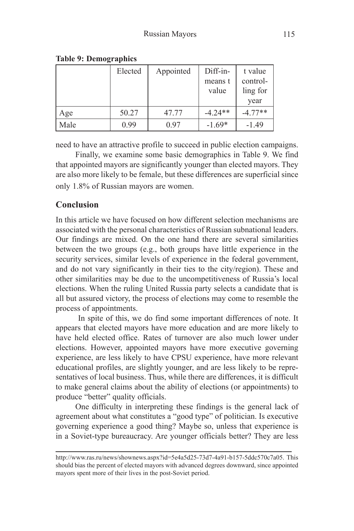|      | Elected | Appointed | $Diff-in-$ | t value   |
|------|---------|-----------|------------|-----------|
|      |         |           | means t    | control-  |
|      |         |           | value      | ling for  |
|      |         |           |            | year      |
| Age  | 50.27   | 47.77     | $-4.24**$  | $-4.77**$ |
| Male | 0.99    | 0.97      | $-1.69*$   | $-1.49$   |

#### **Table 9: Demographics**

need to have an attractive profile to succeed in public election campaigns.

Finally, we examine some basic demographics in Table 9. We find that appointed mayors are significantly younger than elected mayors. They are also more likely to be female, but these differences are superficial since only 1.8% of Russian mayors are women.

# **Conclusion**

In this article we have focused on how different selection mechanisms are associated with the personal characteristics of Russian subnational leaders. Our findings are mixed. On the one hand there are several similarities between the two groups (e.g., both groups have little experience in the security services, similar levels of experience in the federal government, and do not vary significantly in their ties to the city/region). These and other similarities may be due to the uncompetitiveness of Russia's local elections. When the ruling United Russia party selects a candidate that is all but assured victory, the process of elections may come to resemble the process of appointments.

 In spite of this, we do find some important differences of note. It appears that elected mayors have more education and are more likely to have held elected office. Rates of turnover are also much lower under elections. However, appointed mayors have more executive governing experience, are less likely to have CPSU experience, have more relevant educational profiles, are slightly younger, and are less likely to be representatives of local business. Thus, while there are differences, it is difficult to make general claims about the ability of elections (or appointments) to produce "better" quality officials.

One difficulty in interpreting these findings is the general lack of agreement about what constitutes a "good type" of politician. Is executive governing experience a good thing? Maybe so, unless that experience is in a Soviet-type bureaucracy. Are younger officials better? They are less

http://www.ras.ru/news/shownews.aspx?id=5e4a5d25-73d7-4a91-b157-5ddc570c7a05. This should bias the percent of elected mayors with advanced degrees downward, since appointed mayors spent more of their lives in the post-Soviet period.